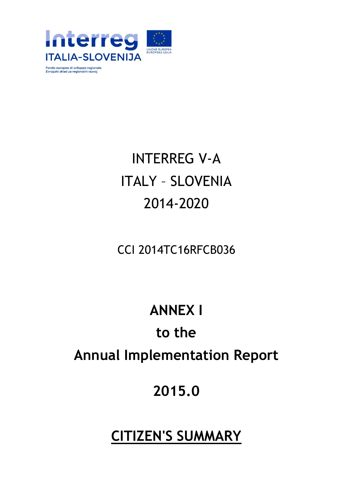

Fondo europeo di sviluppo regionale<br>Evropski sklad za regionalni razvoj

# INTERREG V-A ITALY – SLOVENIA 2014-2020

#### CCI 2014TC16RFCB036

## **ANNEX I**

# **to the Annual Implementation Report**

## **2015.0**

### **CITIZEN'S SUMMARY**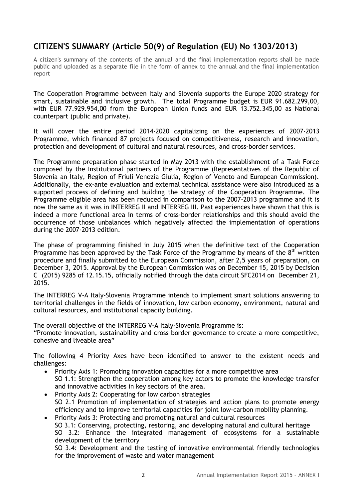#### **CITIZEN'S SUMMARY (Article 50(9) of Regulation (EU) No 1303/2013)**

A citizen's summary of the contents of the annual and the final implementation reports shall be made public and uploaded as a separate file in the form of annex to the annual and the final implementation report

The Cooperation Programme between Italy and Slovenia supports the Europe 2020 strategy for smart, sustainable and inclusive growth. The total Programme budget is EUR 91.682.299,00, with EUR 77.929.954,00 from the European Union funds and EUR 13.752.345,00 as National counterpart (public and private).

It will cover the entire period 2014-2020 capitalizing on the experiences of 2007-2013 Programme, which financed 87 projects focused on competitiveness, research and innovation, protection and development of cultural and natural resources, and cross-border services.

The Programme preparation phase started in May 2013 with the establishment of a Task Force composed by the Institutional partners of the Programme (Representatives of the Republic of Slovenia an Italy, Region of Friuli Venezia Giulia, Region of Veneto and European Commission). Additionally, the ex-ante evaluation and external technical assistance were also introduced as a supported process of defining and building the strategy of the Cooperation Programme. The Programme eligible area has been reduced in comparison to the 2007-2013 programme and it is now the same as it was in INTERREG II and INTERREG III. Past experiences have shown that this is indeed a more functional area in terms of cross-border relationships and this should avoid the occurrence of those unbalances which negatively affected the implementation of operations during the 2007-2013 edition.

The phase of programming finished in July 2015 when the definitive text of the Cooperation Programme has been approved by the Task Force of the Programme by means of the  $8<sup>th</sup>$  written procedure and finally submitted to the European Commission, after 2,5 years of preparation, on December 3, 2015. Approval by the European Commission was on December 15, 2015 by Decision C (2015) 9285 of 12.15.15, officially notified through the data circuit SFC2014 on December 21, 2015.

The INTERREG V-A Italy-Slovenia Programme intends to implement smart solutions answering to territorial challenges in the fields of innovation, low carbon economy, environment, natural and cultural resources, and institutional capacity building.

The overall objective of the INTERREG V-A Italy-Slovenia Programme is: "Promote innovation, sustainability and cross border governance to create a more competitive, cohesive and liveable area"

The following 4 Priority Axes have been identified to answer to the existent needs and challenges:

- Priority Axis 1: Promoting innovation capacities for a more competitive area SO 1.1: Strengthen the cooperation among key actors to promote the knowledge transfer and innovative activities in key sectors of the area.
- Priority Axis 2: Cooperating for low carbon strategies SO 2.1 Promotion of implementation of strategies and action plans to promote energy efficiency and to improve territorial capacities for joint low-carbon mobility planning.
- Priority Axis 3: Protecting and promoting natural and cultural resources SO 3.1: Conserving, protecting, restoring, and developing natural and cultural heritage SO 3.2: Enhance the integrated management of ecosystems for a sustainable development of the territory

SO 3.4: Development and the testing of innovative environmental friendly technologies for the improvement of waste and water management